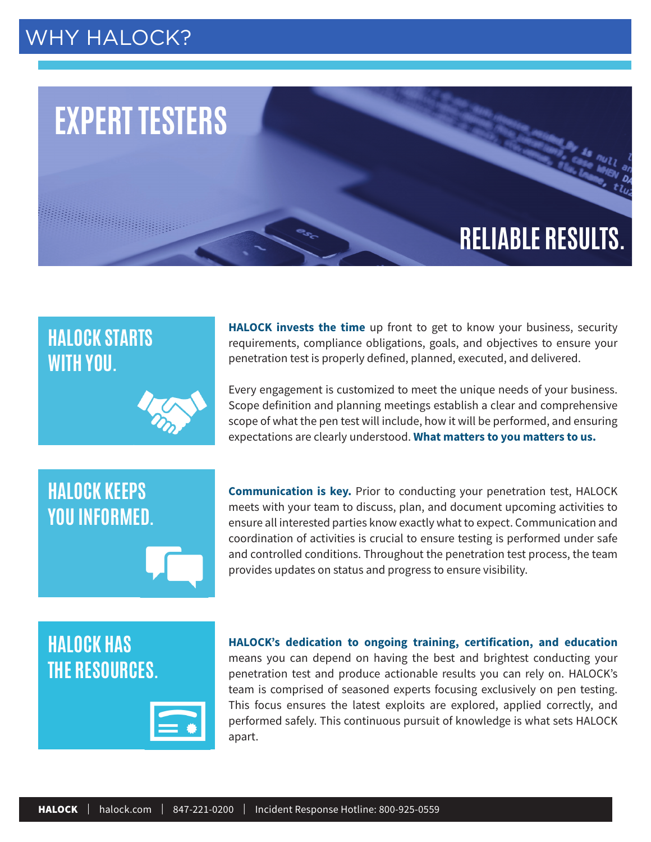## WHY [HALOCK?](https://cmap.amp.vg/xl/vct34hg1ei8h)



## **HALOCK STARTS WITH YOU.**

**HALOCK KEEPS** 

**YOU INFORMED.**



**HALOCK invests the time** up front to get to know your business, security requirements, compliance obligations, goals, and objectives to ensure your penetration test is properly defined, planned, executed, and delivered.

Every engagement is customized to meet the unique needs of your business. Scope definition and planning meetings establish a clear and comprehensive scope of what the pen test will include, how it will be performed, and ensuring expectations are clearly understood. **What matters to you matters to us.**

**Communication is key.** Prior to conducting your penetration test, HALOCK meets with your team to discuss, plan, and document upcoming activities to ensure all interested parties know exactly what to expect. Communication and coordination of activities is crucial to ensure testing is performed under safe and controlled conditions. Throughout the penetration test process, the team provides updates on status and progress to ensure visibility.

## **HALOCK HAS THE RESOURCES.**



**HALOCK's dedication to ongoing training, certification, and education**  means you can depend on having the best and brightest conducting your penetration test and produce actionable results you can rely on. HALOCK's team is comprised of seasoned experts focusing exclusively on pen testing. This focus ensures the latest exploits are explored, applied correctly, and performed safely. This continuous pursuit of knowledge is what sets HALOCK apart.